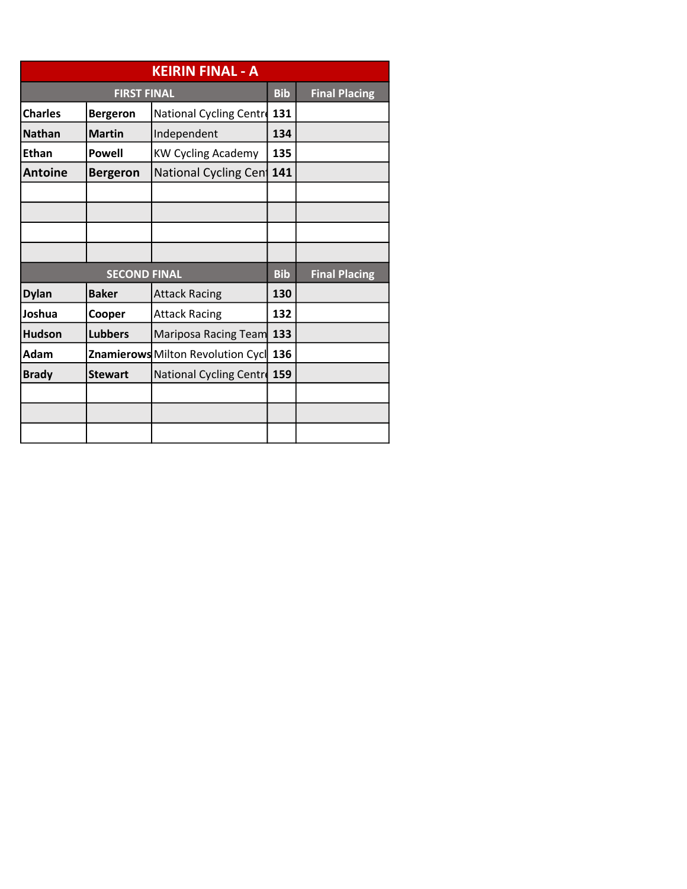|                     |                    | <b>KEIRIN FINAL - A</b>           |            |                      |
|---------------------|--------------------|-----------------------------------|------------|----------------------|
|                     | <b>FIRST FINAL</b> |                                   | <b>Bib</b> | <b>Final Placing</b> |
| <b>Charles</b>      | <b>Bergeron</b>    | National Cycling Centre           | 131        |                      |
| <b>Nathan</b>       | <b>Martin</b>      | Independent                       | 134        |                      |
| <b>Ethan</b>        | <b>Powell</b>      | <b>KW Cycling Academy</b>         | 135        |                      |
| <b>Antoine</b>      | <b>Bergeron</b>    | National Cycling Cen              | 141        |                      |
|                     |                    |                                   |            |                      |
|                     |                    |                                   |            |                      |
|                     |                    |                                   |            |                      |
|                     |                    |                                   |            |                      |
| <b>SECOND FINAL</b> |                    |                                   | <b>Bib</b> | <b>Final Placing</b> |
| <b>Dylan</b>        | <b>Baker</b>       | <b>Attack Racing</b>              | 130        |                      |
| Joshua              | Cooper             | <b>Attack Racing</b>              | 132        |                      |
| <b>Hudson</b>       | <b>Lubbers</b>     | Mariposa Racing Team              | 133        |                      |
| Adam                |                    | Znamierows Milton Revolution Cycl | 136        |                      |
| <b>Brady</b>        | <b>Stewart</b>     | National Cycling Centre           | 159        |                      |
|                     |                    |                                   |            |                      |
|                     |                    |                                   |            |                      |
|                     |                    |                                   |            |                      |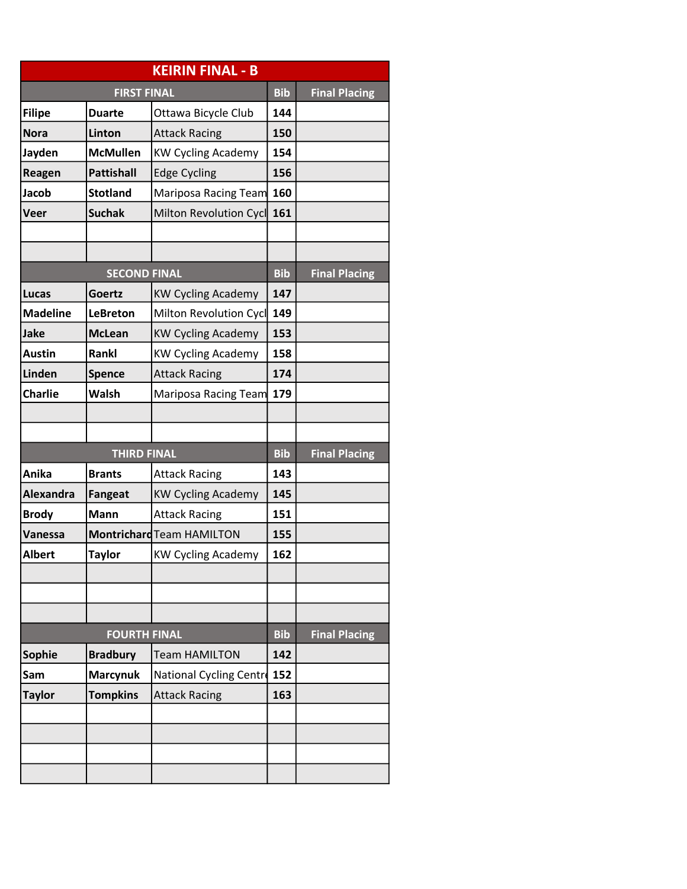|                     |                     | <b>KEIRIN FINAL - B</b>   |            |                      |
|---------------------|---------------------|---------------------------|------------|----------------------|
| <b>FIRST FINAL</b>  |                     |                           | <b>Bib</b> | <b>Final Placing</b> |
| Filipe              | <b>Duarte</b>       | Ottawa Bicycle Club       | 144        |                      |
| Nora                | Linton              | <b>Attack Racing</b>      | 150        |                      |
| Jayden              | <b>McMullen</b>     | <b>KW Cycling Academy</b> | 154        |                      |
| <b>Reagen</b>       | <b>Pattishall</b>   | <b>Edge Cycling</b>       | 156        |                      |
| Jacob               | <b>Stotland</b>     | Mariposa Racing Team      | 160        |                      |
| Veer                | <b>Suchak</b>       | Milton Revolution Cycl    | 161        |                      |
|                     |                     |                           |            |                      |
|                     |                     |                           |            |                      |
|                     | <b>SECOND FINAL</b> |                           | <b>Bib</b> | <b>Final Placing</b> |
| Lucas               | Goertz              | <b>KW Cycling Academy</b> | 147        |                      |
| <b>Madeline</b>     | <b>LeBreton</b>     | Milton Revolution Cycl    | 149        |                      |
| Jake                | <b>McLean</b>       | <b>KW Cycling Academy</b> | 153        |                      |
| <b>Austin</b>       | Rankl               | <b>KW Cycling Academy</b> | 158        |                      |
| Linden              | <b>Spence</b>       | <b>Attack Racing</b>      | 174        |                      |
| Charlie             | <b>Walsh</b>        | Mariposa Racing Team      | 179        |                      |
|                     |                     |                           |            |                      |
|                     |                     |                           |            |                      |
|                     | <b>THIRD FINAL</b>  |                           | <b>Bib</b> | <b>Final Placing</b> |
| Anika               | <b>Brants</b>       | <b>Attack Racing</b>      | 143        |                      |
| Alexandra           | <b>Fangeat</b>      | <b>KW Cycling Academy</b> | 145        |                      |
| <b>Brody</b>        | <b>Mann</b>         | <b>Attack Racing</b>      | 151        |                      |
| Vanessa             |                     | Montrichard Team HAMILTON | 155        |                      |
| Albert              | <b>Taylor</b>       | <b>KW Cycling Academy</b> | 162        |                      |
|                     |                     |                           |            |                      |
|                     |                     |                           |            |                      |
|                     |                     |                           |            |                      |
| <b>FOURTH FINAL</b> |                     |                           |            | <b>Final Placing</b> |
| Sophie              | <b>Bradbury</b>     | <b>Team HAMILTON</b>      | 142        |                      |
| Sam                 | <b>Marcynuk</b>     | National Cycling Centre   | 152        |                      |
| <b>Taylor</b>       | <b>Tompkins</b>     | <b>Attack Racing</b>      | 163        |                      |
|                     |                     |                           |            |                      |
|                     |                     |                           |            |                      |
|                     |                     |                           |            |                      |
|                     |                     |                           |            |                      |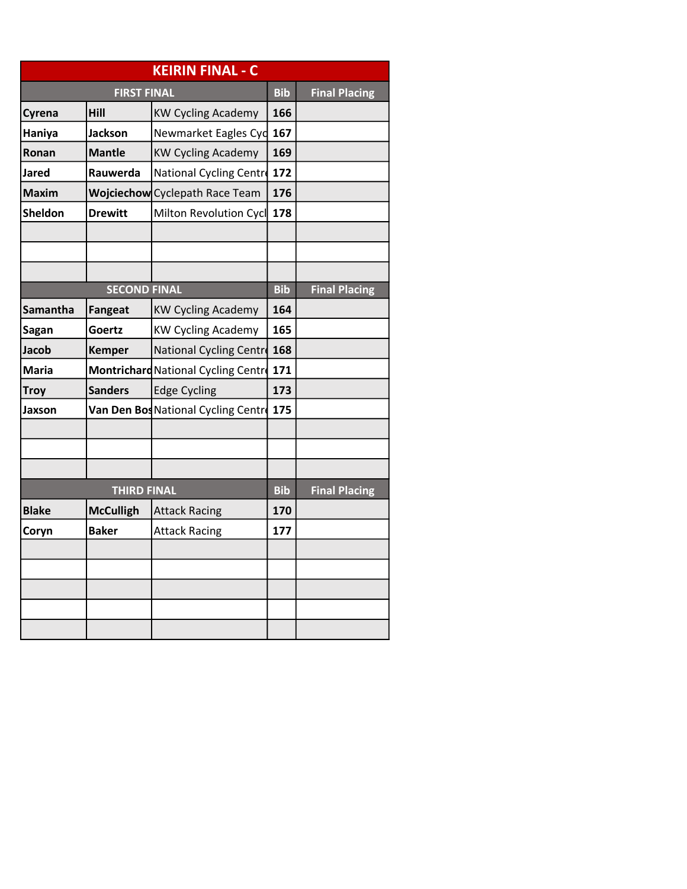| <b>KEIRIN FINAL - C</b> |                     |                                     |            |                      |  |
|-------------------------|---------------------|-------------------------------------|------------|----------------------|--|
| <b>FIRST FINAL</b>      |                     |                                     | <b>Bib</b> | <b>Final Placing</b> |  |
| Cyrena                  | Hill                | <b>KW Cycling Academy</b>           | 166        |                      |  |
| Haniya                  | <b>Jackson</b>      | Newmarket Eagles Cyd                | 167        |                      |  |
| Ronan                   | <b>Mantle</b>       | <b>KW Cycling Academy</b>           | 169        |                      |  |
| Jared                   | Rauwerda            | National Cycling Centre             | 172        |                      |  |
| <b>Maxim</b>            |                     | Wojciechow Cyclepath Race Team      | 176        |                      |  |
| <b>Sheldon</b>          | <b>Drewitt</b>      | Milton Revolution Cycl              | 178        |                      |  |
|                         |                     |                                     |            |                      |  |
|                         |                     |                                     |            |                      |  |
|                         |                     |                                     |            |                      |  |
|                         | <b>SECOND FINAL</b> |                                     | <b>Bib</b> | <b>Final Placing</b> |  |
| <b>Samantha</b>         | <b>Fangeat</b>      | <b>KW Cycling Academy</b>           | 164        |                      |  |
| Sagan                   | Goertz              | <b>KW Cycling Academy</b>           | 165        |                      |  |
| <b>Jacob</b>            | <b>Kemper</b>       | National Cycling Centre             | 168        |                      |  |
| Maria                   |                     | Montrichard National Cycling Centre | 171        |                      |  |
| <b>Troy</b>             | <b>Sanders</b>      | <b>Edge Cycling</b>                 | 173        |                      |  |
| Jaxson                  |                     | Van Den Bos National Cycling Centre | 175        |                      |  |
|                         |                     |                                     |            |                      |  |
|                         |                     |                                     |            |                      |  |
|                         |                     |                                     |            |                      |  |
| <b>THIRD FINAL</b>      |                     |                                     |            | <b>Final Placing</b> |  |
| <b>Blake</b>            | <b>McCulligh</b>    | <b>Attack Racing</b>                | 170        |                      |  |
| Coryn                   | Baker               | <b>Attack Racing</b>                | 177        |                      |  |
|                         |                     |                                     |            |                      |  |
|                         |                     |                                     |            |                      |  |
|                         |                     |                                     |            |                      |  |
|                         |                     |                                     |            |                      |  |
|                         |                     |                                     |            |                      |  |